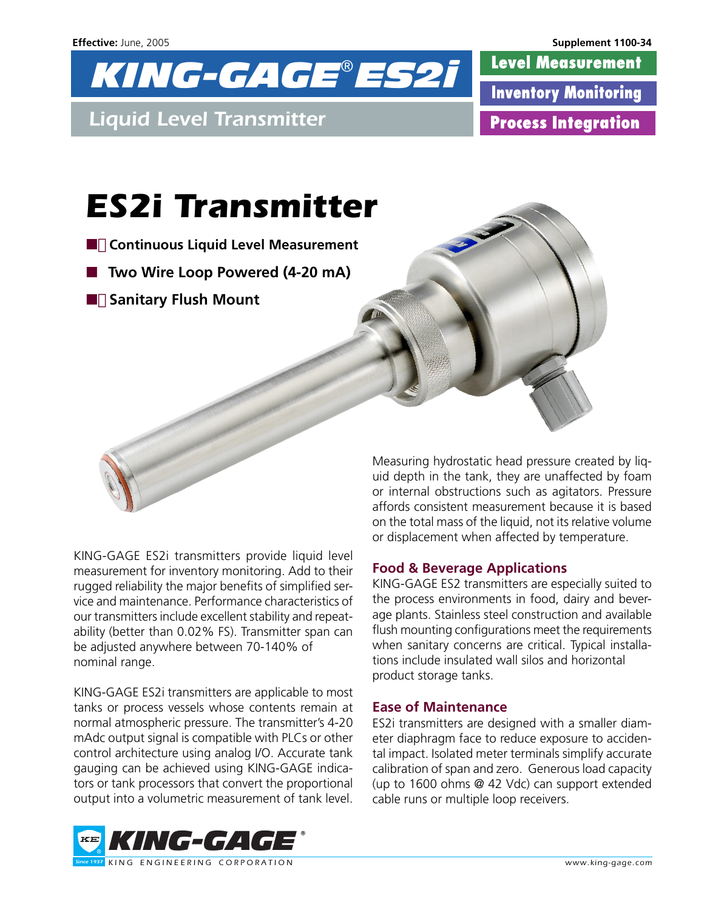

**Level Measurement Inventory Monitoring Process Integration** 

# *ES2i Transmitter*

- **Continuous Liquid Level Measurement**
- **Two Wire Loop Powered (4-20 mA)**
- **Sanitary Flush Mount**

KING-GAGE ES2i transmitters provide liquid level measurement for inventory monitoring. Add to their rugged reliability the major benefits of simplified service and maintenance. Performance characteristics of our transmitters include excellent stability and repeatability (better than 0.02% FS). Transmitter span can be adjusted anywhere between 70-140% of nominal range.

KING-GAGE ES2i transmitters are applicable to most tanks or process vessels whose contents remain at normal atmospheric pressure. The transmitter's 4-20 mAdc output signal is compatible with PLCs or other control architecture using analog I/O. Accurate tank gauging can be achieved using KING-GAGE indicators or tank processors that convert the proportional output into a volumetric measurement of tank level.

Measuring hydrostatic head pressure created by liquid depth in the tank, they are unaffected by foam or internal obstructions such as agitators. Pressure affords consistent measurement because it is based on the total mass of the liquid, not its relative volume or displacement when affected by temperature.

# **Food & Beverage Applications**

KING-GAGE ES2 transmitters are especially suited to the process environments in food, dairy and beverage plants. Stainless steel construction and available flush mounting configurations meet the requirements when sanitary concerns are critical. Typical installations include insulated wall silos and horizontal product storage tanks.

### **Ease of Maintenance**

ES2i transmitters are designed with a smaller diameter diaphragm face to reduce exposure to accidental impact. Isolated meter terminals simplify accurate calibration of span and zero. Generous load capacity (up to 1600 ohms @ 42 Vdc) can support extended cable runs or multiple loop receivers.